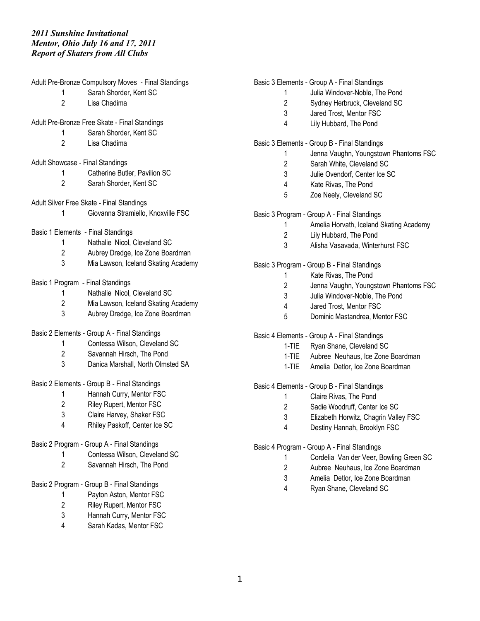Sarah Kadas, Mentor FSC

|                                              | Adult Pre-Bronze Compulsory Moves - Final Standings |         | Basic 3 Elements - Group A - Final Standings |
|----------------------------------------------|-----------------------------------------------------|---------|----------------------------------------------|
|                                              | Sarah Shorder, Kent SC                              |         | Julia Windover-Noble, The Pond               |
| $\overline{2}$                               | Lisa Chadima                                        | 2       | Sydney Herbruck, Cleveland SC                |
|                                              |                                                     | 3       | Jared Trost, Mentor FSC                      |
|                                              | Adult Pre-Bronze Free Skate - Final Standings       | 4       | Lily Hubbard, The Pond                       |
|                                              | Sarah Shorder, Kent SC                              |         |                                              |
| 2                                            | Lisa Chadima                                        |         | Basic 3 Elements - Group B - Final Standings |
|                                              |                                                     |         | Jenna Vaughn, Youngstown Phantoms FSC        |
|                                              | Adult Showcase - Final Standings                    | 2       | Sarah White, Cleveland SC                    |
|                                              | Catherine Butler, Pavilion SC                       | 3       | Julie Ovendorf, Center Ice SC                |
| 2                                            | Sarah Shorder, Kent SC                              |         |                                              |
|                                              |                                                     | 4       | Kate Rivas, The Pond                         |
|                                              | Adult Silver Free Skate - Final Standings           | 5       | Zoe Neely, Cleveland SC                      |
| 1                                            | Giovanna Stramiello, Knoxville FSC                  |         | Basic 3 Program - Group A - Final Standings  |
|                                              |                                                     |         |                                              |
|                                              | Basic 1 Elements - Final Standings                  |         | Amelia Horvath, Iceland Skating Academy      |
| 1                                            | Nathalie Nicol, Cleveland SC                        | 2       | Lily Hubbard, The Pond                       |
| $\overline{2}$                               | Aubrey Dredge, Ice Zone Boardman                    | 3       | Alisha Vasavada, Winterhurst FSC             |
| 3                                            | Mia Lawson, Iceland Skating Academy                 |         |                                              |
|                                              |                                                     |         | Basic 3 Program - Group B - Final Standings  |
| Basic 1 Program - Final Standings            |                                                     |         | Kate Rivas, The Pond                         |
|                                              | Nathalie Nicol, Cleveland SC                        | 2       | Jenna Vaughn, Youngstown Phantoms FSC        |
| 2                                            | Mia Lawson, Iceland Skating Academy                 | 3       | Julia Windover-Noble, The Pond               |
| 3                                            | Aubrey Dredge, Ice Zone Boardman                    | 4       | Jared Trost, Mentor FSC                      |
|                                              |                                                     | 5       | Dominic Mastandrea, Mentor FSC               |
|                                              | Basic 2 Elements - Group A - Final Standings        |         | Basic 4 Elements - Group A - Final Standings |
| 1                                            | Contessa Wilson, Cleveland SC                       | $1-TIE$ | Ryan Shane, Cleveland SC                     |
| 2                                            | Savannah Hirsch, The Pond                           | $1-TIE$ | Aubree Neuhaus, Ice Zone Boardman            |
| 3                                            | Danica Marshall, North Olmsted SA                   | $1-TIE$ |                                              |
|                                              |                                                     |         | Amelia Detlor, Ice Zone Boardman             |
| Basic 2 Elements - Group B - Final Standings |                                                     |         | Basic 4 Elements - Group B - Final Standings |
|                                              | Hannah Curry, Mentor FSC                            |         | Claire Rivas, The Pond                       |
| 2                                            | Riley Rupert, Mentor FSC                            | 2       | Sadie Woodruff, Center Ice SC                |
| 3                                            | Claire Harvey, Shaker FSC                           | 3       | Elizabeth Horwitz, Chagrin Valley FSC        |
|                                              | Rhiley Paskoff, Center Ice SC                       | 4       | Destiny Hannah, Brooklyn FSC                 |
|                                              |                                                     |         |                                              |
|                                              | Basic 2 Program - Group A - Final Standings         |         | Basic 4 Program - Group A - Final Standings  |
|                                              | Contessa Wilson, Cleveland SC                       |         | Cordelia Van der Veer, Bowling Green SC      |
| 2                                            | Savannah Hirsch, The Pond                           | 2       | Aubree Neuhaus, Ice Zone Boardman            |
|                                              |                                                     | 3       | Amelia Detlor, Ice Zone Boardman             |
|                                              | Basic 2 Program - Group B - Final Standings         | 4       | Ryan Shane, Cleveland SC                     |
|                                              | Payton Aston, Mentor FSC                            |         |                                              |
| 2                                            | Riley Rupert, Mentor FSC                            |         |                                              |
| 3                                            | Hannah Curry, Mentor FSC                            |         |                                              |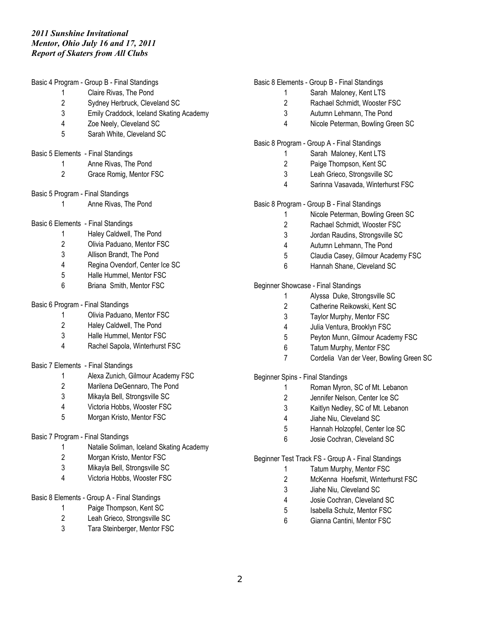Basic 4 Program - Group B - Final Standings Claire Rivas, The Pond Sydney Herbruck, Cleveland SC Emily Craddock, Iceland Skating Academy Zoe Neely, Cleveland SC Sarah White, Cleveland SC Basic 5 Elements - Final Standings Anne Rivas, The Pond Grace Romig, Mentor FSC Basic 5 Program - Final Standings Anne Rivas, The Pond Basic 6 Elements - Final Standings Haley Caldwell, The Pond Olivia Paduano, Mentor FSC Allison Brandt, The Pond Regina Ovendorf, Center Ice SC Halle Hummel, Mentor FSC Briana Smith, Mentor FSC Basic 6 Program - Final Standings Olivia Paduano, Mentor FSC Haley Caldwell, The Pond Halle Hummel, Mentor FSC Rachel Sapola, Winterhurst FSC Basic 7 Elements - Final Standings Alexa Zunich, Gilmour Academy FSC Marilena DeGennaro, The Pond Mikayla Bell, Strongsville SC Victoria Hobbs, Wooster FSC Morgan Kristo, Mentor FSC Basic 7 Program - Final Standings Natalie Soliman, Iceland Skating Academy Morgan Kristo, Mentor FSC Mikayla Bell, Strongsville SC Victoria Hobbs, Wooster FSC Basic 8 Elements - Group A - Final Standings Paige Thompson, Kent SC Leah Grieco, Strongsville SC

Tara Steinberger, Mentor FSC

### Basic 8 Elements - Group B - Final Standings

- Sarah Maloney, Kent LTS
- Rachael Schmidt, Wooster FSC
- Autumn Lehmann, The Pond
- Nicole Peterman, Bowling Green SC

### Basic 8 Program - Group A - Final Standings

- Sarah Maloney, Kent LTS
- Paige Thompson, Kent SC
- Leah Grieco, Strongsville SC
- Sarinna Vasavada, Winterhurst FSC

### Basic 8 Program - Group B - Final Standings

- Nicole Peterman, Bowling Green SC
- Rachael Schmidt, Wooster FSC
- Jordan Raudins, Strongsville SC
- Autumn Lehmann, The Pond
- Claudia Casey, Gilmour Academy FSC
- Hannah Shane, Cleveland SC

### Beginner Showcase - Final Standings

- Alyssa Duke, Strongsville SC
- Catherine Reikowski, Kent SC
- Taylor Murphy, Mentor FSC
- Julia Ventura, Brooklyn FSC
- Peyton Munn, Gilmour Academy FSC
- Tatum Murphy, Mentor FSC
- Cordelia Van der Veer, Bowling Green SC

Beginner Spins - Final Standings

- Roman Myron, SC of Mt. Lebanon
- Jennifer Nelson, Center Ice SC
- Kaitlyn Nedley, SC of Mt. Lebanon
- Jiahe Niu, Cleveland SC
- Hannah Holzopfel, Center Ice SC
- Josie Cochran, Cleveland SC

Beginner Test Track FS - Group A - Final Standings

- Tatum Murphy, Mentor FSC
- McKenna Hoefsmit, Winterhurst FSC
- Jiahe Niu, Cleveland SC
- Josie Cochran, Cleveland SC
- Isabella Schulz, Mentor FSC
- Gianna Cantini, Mentor FSC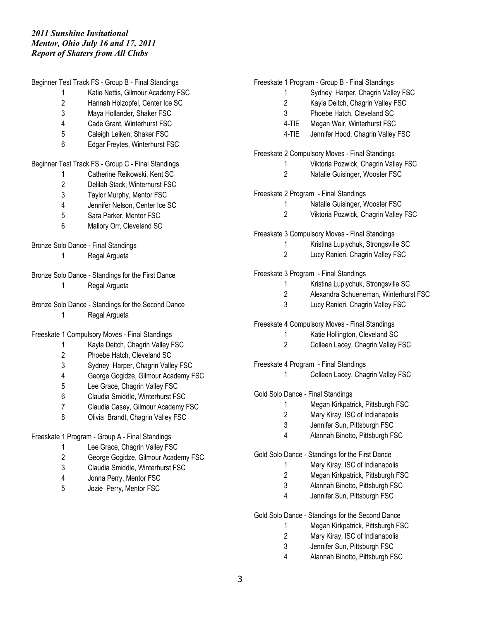| Beginner Test Track FS - Group B - Final Standings |                                                    |  |  |  |  |  |
|----------------------------------------------------|----------------------------------------------------|--|--|--|--|--|
| 1                                                  | Katie Nettis, Gilmour Academy FSC                  |  |  |  |  |  |
| $\overline{c}$                                     | Hannah Holzopfel, Center Ice SC                    |  |  |  |  |  |
| 3                                                  | Maya Hollander, Shaker FSC                         |  |  |  |  |  |
| 4                                                  | Cade Grant, Winterhurst FSC                        |  |  |  |  |  |
| 5                                                  | Caleigh Leiken, Shaker FSC                         |  |  |  |  |  |
| 6                                                  | Edgar Freytes, Winterhurst FSC                     |  |  |  |  |  |
| Beginner Test Track FS - Group C - Final Standings |                                                    |  |  |  |  |  |
| 1                                                  | Catherine Reikowski, Kent SC                       |  |  |  |  |  |
| $\overline{2}$                                     | Delilah Stack, Winterhurst FSC                     |  |  |  |  |  |
| 3                                                  | Taylor Murphy, Mentor FSC                          |  |  |  |  |  |
| 4                                                  | Jennifer Nelson, Center Ice SC                     |  |  |  |  |  |
| 5                                                  | Sara Parker, Mentor FSC                            |  |  |  |  |  |
| 6                                                  | Mallory Orr, Cleveland SC                          |  |  |  |  |  |
|                                                    | Bronze Solo Dance - Final Standings                |  |  |  |  |  |
| 1                                                  | Regal Argueta                                      |  |  |  |  |  |
|                                                    |                                                    |  |  |  |  |  |
|                                                    | Bronze Solo Dance - Standings for the First Dance  |  |  |  |  |  |
| 1                                                  | Regal Argueta                                      |  |  |  |  |  |
|                                                    | Bronze Solo Dance - Standings for the Second Dance |  |  |  |  |  |
| 1                                                  | Regal Argueta                                      |  |  |  |  |  |
|                                                    |                                                    |  |  |  |  |  |
|                                                    | Freeskate 1 Compulsory Moves - Final Standings     |  |  |  |  |  |
| 1                                                  | Kayla Deitch, Chagrin Valley FSC                   |  |  |  |  |  |
| 2                                                  | Phoebe Hatch, Cleveland SC                         |  |  |  |  |  |
| 3                                                  | Sydney Harper, Chagrin Valley FSC                  |  |  |  |  |  |
| 4                                                  | George Gogidze, Gilmour Academy FSC                |  |  |  |  |  |
| 5                                                  | Lee Grace, Chagrin Valley FSC                      |  |  |  |  |  |
| 6                                                  | Claudia Smiddle, Winterhurst FSC                   |  |  |  |  |  |
| 7                                                  | Claudia Casey, Gilmour Academy FSC                 |  |  |  |  |  |
| 8                                                  | Olivia Brandt, Chagrin Valley FSC                  |  |  |  |  |  |
| Freeskate 1 Program - Group A - Final Standings    |                                                    |  |  |  |  |  |
| Lee Orean Chappin Valley FOO                       |                                                    |  |  |  |  |  |

- Lee Grace, Chagrin Valley FSC
- George Gogidze, Gilmour Academy FSC
- Claudia Smiddle, Winterhurst FSC
- Jonna Perry, Mentor FSC
- Jozie Perry, Mentor FSC

### Freeskate 1 Program - Group B - Final Standings

- Sydney Harper, Chagrin Valley FSC
- Kayla Deitch, Chagrin Valley FSC
- Phoebe Hatch, Cleveland SC
- 4-TIE Megan Weir, Winterhurst FSC
- 4-TIE Jennifer Hood, Chagrin Valley FSC
- Freeskate 2 Compulsory Moves Final Standings
	- Viktoria Pozwick, Chagrin Valley FSC
	- Natalie Guisinger, Wooster FSC

# Freeskate 2 Program - Final Standings

- Natalie Guisinger, Wooster FSC
- Viktoria Pozwick, Chagrin Valley FSC

Freeskate 3 Compulsory Moves - Final Standings

- Kristina Lupiychuk, Strongsville SC
	- Lucy Ranieri, Chagrin Valley FSC

Freeskate 3 Program - Final Standings

- Kristina Lupiychuk, Strongsville SC
- Alexandra Schueneman, Winterhurst FSC
- Lucy Ranieri, Chagrin Valley FSC

### Freeskate 4 Compulsory Moves - Final Standings

- Katie Hollington, Cleveland SC
- Colleen Lacey, Chagrin Valley FSC

Freeskate 4 Program - Final Standings

Colleen Lacey, Chagrin Valley FSC

Gold Solo Dance - Final Standings

- Megan Kirkpatrick, Pittsburgh FSC
- Mary Kiray, ISC of Indianapolis
- Jennifer Sun, Pittsburgh FSC
- Alannah Binotto, Pittsburgh FSC

Gold Solo Dance - Standings for the First Dance

- Mary Kiray, ISC of Indianapolis
- Megan Kirkpatrick, Pittsburgh FSC
- Alannah Binotto, Pittsburgh FSC
- Jennifer Sun, Pittsburgh FSC

Gold Solo Dance - Standings for the Second Dance

- Megan Kirkpatrick, Pittsburgh FSC
- Mary Kiray, ISC of Indianapolis
- Jennifer Sun, Pittsburgh FSC
- Alannah Binotto, Pittsburgh FSC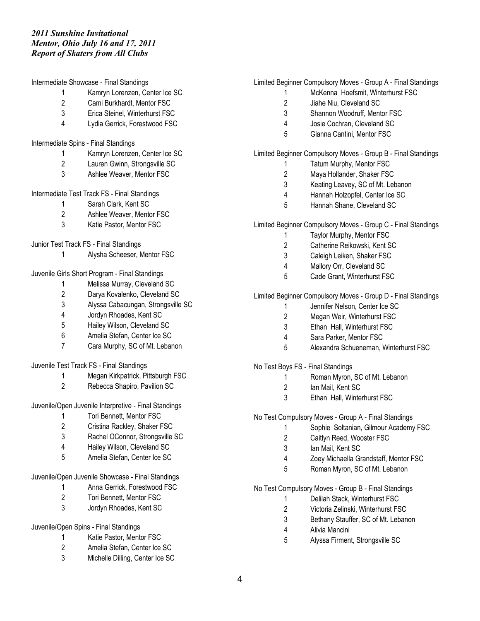Intermediate Showcase - Final Standings

- Kamryn Lorenzen, Center Ice SC
- Cami Burkhardt, Mentor FSC
- Erica Steinel, Winterhurst FSC
- Lydia Gerrick, Forestwood FSC
- Intermediate Spins Final Standings
	- Kamryn Lorenzen, Center Ice SC
	- Lauren Gwinn, Strongsville SC
	- Ashlee Weaver, Mentor FSC

# Intermediate Test Track FS - Final Standings

- Sarah Clark, Kent SC
- Ashlee Weaver, Mentor FSC
- Katie Pastor, Mentor FSC

### Junior Test Track FS - Final Standings

- Alysha Scheeser, Mentor FSC
- Juvenile Girls Short Program Final Standings
	- Melissa Murray, Cleveland SC
	- Darya Kovalenko, Cleveland SC
	- Alyssa Cabacungan, Strongsville SC
	- Jordyn Rhoades, Kent SC
	- Hailey Wilson, Cleveland SC
	- Amelia Stefan, Center Ice SC
	- Cara Murphy, SC of Mt. Lebanon

Juvenile Test Track FS - Final Standings

- Megan Kirkpatrick, Pittsburgh FSC
- Rebecca Shapiro, Pavilion SC

Juvenile/Open Juvenile Interpretive - Final Standings

- Tori Bennett, Mentor FSC
- Cristina Rackley, Shaker FSC
- Rachel OConnor, Strongsville SC
- Hailey Wilson, Cleveland SC
- Amelia Stefan, Center Ice SC

# Juvenile/Open Juvenile Showcase - Final Standings

- Anna Gerrick, Forestwood FSC
	- Tori Bennett, Mentor FSC
	- Jordyn Rhoades, Kent SC

### Juvenile/Open Spins - Final Standings

- Katie Pastor, Mentor FSC
- Amelia Stefan, Center Ice SC
- Michelle Dilling, Center Ice SC

### Limited Beginner Compulsory Moves - Group A - Final Standings

- McKenna Hoefsmit, Winterhurst FSC
- Jiahe Niu, Cleveland SC
- Shannon Woodruff, Mentor FSC
- Josie Cochran, Cleveland SC
- Gianna Cantini, Mentor FSC

### Limited Beginner Compulsory Moves - Group B - Final Standings

- Tatum Murphy, Mentor FSC
- Maya Hollander, Shaker FSC
- Keating Leavey, SC of Mt. Lebanon
- Hannah Holzopfel, Center Ice SC
- Hannah Shane, Cleveland SC

Limited Beginner Compulsory Moves - Group C - Final Standings

- Taylor Murphy, Mentor FSC
- Catherine Reikowski, Kent SC
- Caleigh Leiken, Shaker FSC
- Mallory Orr, Cleveland SC
- Cade Grant, Winterhurst FSC

# Limited Beginner Compulsory Moves - Group D - Final Standings

- Jennifer Nelson, Center Ice SC
- Megan Weir, Winterhurst FSC
- Ethan Hall, Winterhurst FSC
- Sara Parker, Mentor FSC
- Alexandra Schueneman, Winterhurst FSC

No Test Boys FS - Final Standings

- Roman Myron, SC of Mt. Lebanon
- Ian Mail, Kent SC
- Ethan Hall, Winterhurst FSC

No Test Compulsory Moves - Group A - Final Standings

- Sophie Soltanian, Gilmour Academy FSC
- Caitlyn Reed, Wooster FSC
- Ian Mail, Kent SC
- Zoey Michaella Grandstaff, Mentor FSC
- Roman Myron, SC of Mt. Lebanon

### No Test Compulsory Moves - Group B - Final Standings

- Delilah Stack, Winterhurst FSC
- Victoria Zelinski, Winterhurst FSC
- Bethany Stauffer, SC of Mt. Lebanon
- Alivia Mancini
- Alyssa Firment, Strongsville SC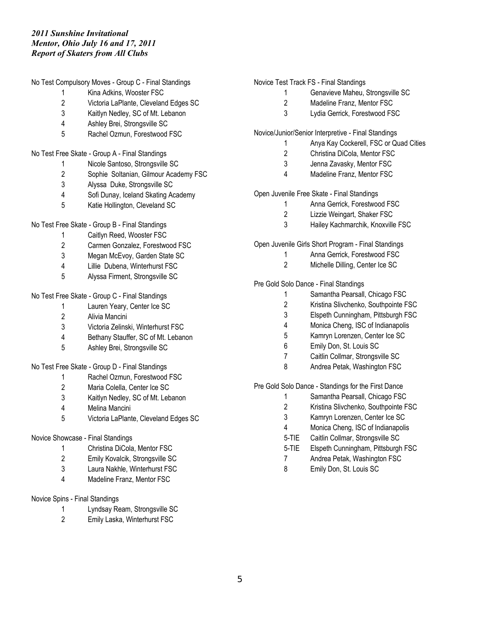No Test Compulsory Moves - Group C - Final Standings

- Kina Adkins, Wooster FSC
- Victoria LaPlante, Cleveland Edges SC
- Kaitlyn Nedley, SC of Mt. Lebanon
- Ashley Brei, Strongsville SC
- Rachel Ozmun, Forestwood FSC

No Test Free Skate - Group A - Final Standings

- Nicole Santoso, Strongsville SC
- Sophie Soltanian, Gilmour Academy FSC
- Alyssa Duke, Strongsville SC
- Sofi Dunay, Iceland Skating Academy
- Katie Hollington, Cleveland SC

No Test Free Skate - Group B - Final Standings

- Caitlyn Reed, Wooster FSC
- Carmen Gonzalez, Forestwood FSC
- Megan McEvoy, Garden State SC
- Lillie Dubena, Winterhurst FSC
- Alyssa Firment, Strongsville SC

No Test Free Skate - Group C - Final Standings

- Lauren Yeary, Center Ice SC
- Alivia Mancini
- Victoria Zelinski, Winterhurst FSC
- Bethany Stauffer, SC of Mt. Lebanon
- Ashley Brei, Strongsville SC

No Test Free Skate - Group D - Final Standings

- Rachel Ozmun, Forestwood FSC
- Maria Colella, Center Ice SC
- Kaitlyn Nedley, SC of Mt. Lebanon
- Melina Mancini
- Victoria LaPlante, Cleveland Edges SC

# Novice Showcase - Final Standings

- Christina DiCola, Mentor FSC
- Emily Kovalcik, Strongsville SC
- Laura Nakhle, Winterhurst FSC
- Madeline Franz, Mentor FSC

# Novice Spins - Final Standings

- Lyndsay Ream, Strongsville SC
- Emily Laska, Winterhurst FSC

# Novice Test Track FS - Final Standings

- Genavieve Maheu, Strongsville SC
- Madeline Franz, Mentor FSC
- Lydia Gerrick, Forestwood FSC

Novice/Junior/Senior Interpretive - Final Standings

- Anya Kay Cockerell, FSC or Quad Cities
- Christina DiCola, Mentor FSC
- Jenna Zavasky, Mentor FSC
- Madeline Franz, Mentor FSC

# Open Juvenile Free Skate - Final Standings

- Anna Gerrick, Forestwood FSC
- Lizzie Weingart, Shaker FSC
- Hailey Kachmarchik, Knoxville FSC

# Open Juvenile Girls Short Program - Final Standings

- Anna Gerrick, Forestwood FSC
- Michelle Dilling, Center Ice SC

# Pre Gold Solo Dance - Final Standings

- Samantha Pearsall, Chicago FSC
- Kristina Slivchenko, Southpointe FSC
- Elspeth Cunningham, Pittsburgh FSC
- Monica Cheng, ISC of Indianapolis
- Kamryn Lorenzen, Center Ice SC
- Emily Don, St. Louis SC
- Caitlin Collmar, Strongsville SC
- 8 Andrea Petak, Washington FSC

# Pre Gold Solo Dance - Standings for the First Dance

- Samantha Pearsall, Chicago FSC
- Kristina Slivchenko, Southpointe FSC
- Kamryn Lorenzen, Center Ice SC
- Monica Cheng, ISC of Indianapolis
- 5-TIE Caitlin Collmar, Strongsville SC
- 5-TIE Elspeth Cunningham, Pittsburgh FSC
- Andrea Petak, Washington FSC
- Emily Don, St. Louis SC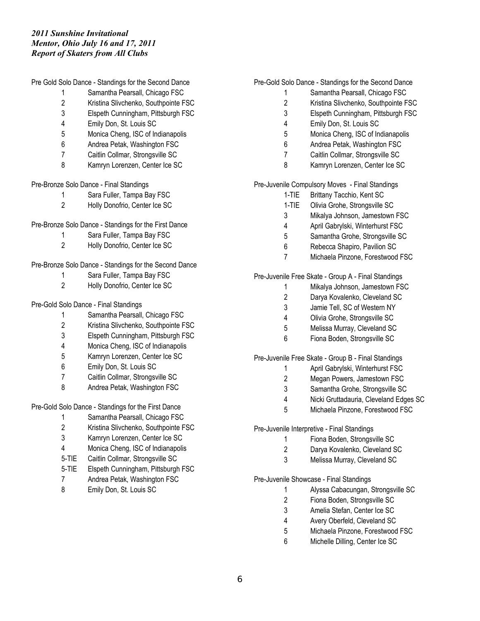Pre Gold Solo Dance - Standings for the Second Dance

- Samantha Pearsall, Chicago FSC
- Kristina Slivchenko, Southpointe FSC
- Elspeth Cunningham, Pittsburgh FSC
- Emily Don, St. Louis SC
- Monica Cheng, ISC of Indianapolis
- Andrea Petak, Washington FSC
- Caitlin Collmar, Strongsville SC
- Kamryn Lorenzen, Center Ice SC

### Pre-Bronze Solo Dance - Final Standings

- Sara Fuller, Tampa Bay FSC
- Holly Donofrio, Center Ice SC

# Pre-Bronze Solo Dance - Standings for the First Dance

- Sara Fuller, Tampa Bay FSC
- Holly Donofrio, Center Ice SC

# Pre-Bronze Solo Dance - Standings for the Second Dance

- Sara Fuller, Tampa Bay FSC
- Holly Donofrio, Center Ice SC

### Pre-Gold Solo Dance - Final Standings

- Samantha Pearsall, Chicago FSC
- Kristina Slivchenko, Southpointe FSC
- Elspeth Cunningham, Pittsburgh FSC
- Monica Cheng, ISC of Indianapolis
- Kamryn Lorenzen, Center Ice SC
- Emily Don, St. Louis SC
- Caitlin Collmar, Strongsville SC
- 8 Andrea Petak, Washington FSC

# Pre-Gold Solo Dance - Standings for the First Dance

- Samantha Pearsall, Chicago FSC
- Kristina Slivchenko, Southpointe FSC
- Kamryn Lorenzen, Center Ice SC
- Monica Cheng, ISC of Indianapolis
- 5-TIE Caitlin Collmar, Strongsville SC
- 5-TIE Elspeth Cunningham, Pittsburgh FSC
- Andrea Petak, Washington FSC
- 8 Emily Don, St. Louis SC

# Pre-Gold Solo Dance - Standings for the Second Dance

- Samantha Pearsall, Chicago FSC
- Kristina Slivchenko, Southpointe FSC
- Elspeth Cunningham, Pittsburgh FSC
- Emily Don, St. Louis SC
- Monica Cheng, ISC of Indianapolis
- Andrea Petak, Washington FSC
- Caitlin Collmar, Strongsville SC
- Kamryn Lorenzen, Center Ice SC

Pre-Juvenile Compulsory Moves - Final Standings

- 1-TIE Brittany Tacchio, Kent SC
- 1-TIE Olivia Grohe, Strongsville SC
- Mikalya Johnson, Jamestown FSC
- April Gabrylski, Winterhurst FSC
- Samantha Grohe, Strongsville SC
- Rebecca Shapiro, Pavilion SC
- Michaela Pinzone, Forestwood FSC

Pre-Juvenile Free Skate - Group A - Final Standings

- Mikalya Johnson, Jamestown FSC
- Darya Kovalenko, Cleveland SC
- Jamie Tell, SC of Western NY
- Olivia Grohe, Strongsville SC
- Melissa Murray, Cleveland SC
- Fiona Boden, Strongsville SC

Pre-Juvenile Free Skate - Group B - Final Standings

- April Gabrylski, Winterhurst FSC
- Megan Powers, Jamestown FSC
- Samantha Grohe, Strongsville SC
- Nicki Gruttadauria, Cleveland Edges SC
- Michaela Pinzone, Forestwood FSC

Pre-Juvenile Interpretive - Final Standings

- Fiona Boden, Strongsville SC
- Darya Kovalenko, Cleveland SC
- Melissa Murray, Cleveland SC

Pre-Juvenile Showcase - Final Standings

- Alyssa Cabacungan, Strongsville SC
- Fiona Boden, Strongsville SC
- Amelia Stefan, Center Ice SC
- Avery Oberfeld, Cleveland SC
- Michaela Pinzone, Forestwood FSC
- Michelle Dilling, Center Ice SC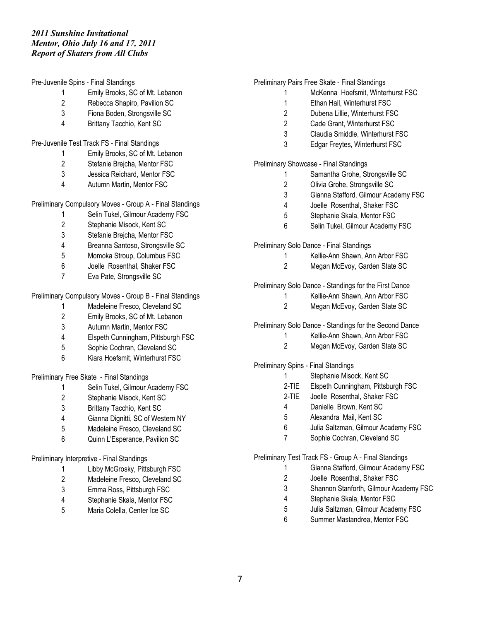Pre-Juvenile Spins - Final Standings

- Emily Brooks, SC of Mt. Lebanon
- Rebecca Shapiro, Pavilion SC
- Fiona Boden, Strongsville SC
- Brittany Tacchio, Kent SC

### Pre-Juvenile Test Track FS - Final Standings

- Emily Brooks, SC of Mt. Lebanon
- Stefanie Brejcha, Mentor FSC
- Jessica Reichard, Mentor FSC
- Autumn Martin, Mentor FSC

Preliminary Compulsory Moves - Group A - Final Standings

- Selin Tukel, Gilmour Academy FSC
- Stephanie Misock, Kent SC
- Stefanie Brejcha, Mentor FSC
- Breanna Santoso, Strongsville SC
- Momoka Stroup, Columbus FSC
- Joelle Rosenthal, Shaker FSC
- Eva Pate, Strongsville SC

Preliminary Compulsory Moves - Group B - Final Standings

- Madeleine Fresco, Cleveland SC
- Emily Brooks, SC of Mt. Lebanon
- Autumn Martin, Mentor FSC
- Elspeth Cunningham, Pittsburgh FSC
- Sophie Cochran, Cleveland SC
- Kiara Hoefsmit, Winterhurst FSC

Preliminary Free Skate - Final Standings

- Selin Tukel, Gilmour Academy FSC
- Stephanie Misock, Kent SC
- Brittany Tacchio, Kent SC
- Gianna Dignitti, SC of Western NY
- Madeleine Fresco, Cleveland SC
- Quinn L'Esperance, Pavilion SC

# Preliminary Interpretive - Final Standings

- Libby McGrosky, Pittsburgh FSC
- Madeleine Fresco, Cleveland SC
- Emma Ross, Pittsburgh FSC
- Stephanie Skala, Mentor FSC
- Maria Colella, Center Ice SC

### Preliminary Pairs Free Skate - Final Standings

- McKenna Hoefsmit, Winterhurst FSC
- Ethan Hall, Winterhurst FSC
- Dubena Lillie, Winterhurst FSC
- Cade Grant, Winterhurst FSC
- Claudia Smiddle, Winterhurst FSC
- Edgar Freytes, Winterhurst FSC

Preliminary Showcase - Final Standings

- Samantha Grohe, Strongsville SC
- Olivia Grohe, Strongsville SC
- Gianna Stafford, Gilmour Academy FSC
- Joelle Rosenthal, Shaker FSC
- Stephanie Skala, Mentor FSC
- Selin Tukel, Gilmour Academy FSC

Preliminary Solo Dance - Final Standings

- Kellie-Ann Shawn, Ann Arbor FSC
- Megan McEvoy, Garden State SC

Preliminary Solo Dance - Standings for the First Dance

- Kellie-Ann Shawn, Ann Arbor FSC
- Megan McEvoy, Garden State SC

Preliminary Solo Dance - Standings for the Second Dance

- Kellie-Ann Shawn, Ann Arbor FSC
- Megan McEvoy, Garden State SC

Preliminary Spins - Final Standings

- Stephanie Misock, Kent SC
	- 2-TIE Elspeth Cunningham, Pittsburgh FSC
	- 2-TIE Joelle Rosenthal, Shaker FSC
	- Danielle Brown, Kent SC
	- Alexandra Mail, Kent SC
	- Julia Saltzman, Gilmour Academy FSC
	- Sophie Cochran, Cleveland SC

Preliminary Test Track FS - Group A - Final Standings

- Gianna Stafford, Gilmour Academy FSC
- Joelle Rosenthal, Shaker FSC
- Shannon Stanforth, Gilmour Academy FSC
- Stephanie Skala, Mentor FSC
- Julia Saltzman, Gilmour Academy FSC
- Summer Mastandrea, Mentor FSC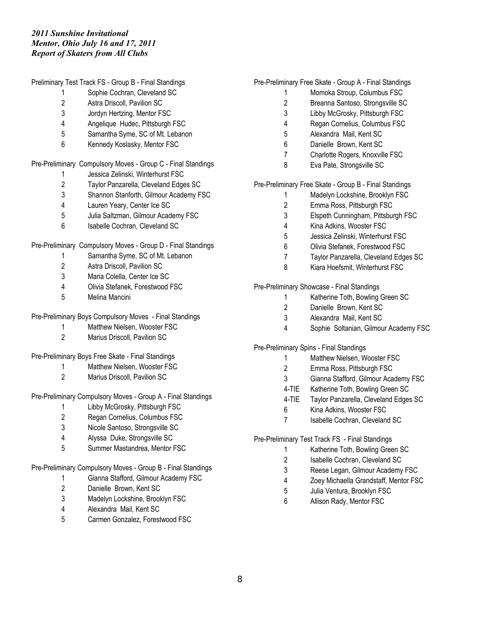Preliminary Test Track FS - Group B - Final Standings

- Sophie Cochran, Cleveland SC
- Astra Driscoll, Pavilion SC
- Jordyn Hertzing, Mentor FSC
- Angelique Hudec, Pittsburgh FSC
- Samantha Syme, SC of Mt. Lebanon
- Kennedy Koslasky, Mentor FSC

Pre-Preliminary Compulsory Moves - Group C - Final Standings

- Jessica Zelinski, Winterhurst FSC
- Taylor Panzarella, Cleveland Edges SC
- Shannon Stanforth, Gilmour Academy FSC
- Lauren Yeary, Center Ice SC
- Julia Saltzman, Gilmour Academy FSC
- Isabelle Cochran, Cleveland SC

Pre-Preliminary Compulsory Moves - Group D - Final Standings

- Samantha Syme, SC of Mt. Lebanon
- Astra Driscoll, Pavilion SC
- Maria Colella, Center Ice SC
- Olivia Stefanek, Forestwood FSC
- Melina Mancini

Pre-Preliminary Boys Compulsory Moves - Final Standings

- Matthew Nielsen, Wooster FSC
- Marius Driscoll, Pavilion SC

Pre-Preliminary Boys Free Skate - Final Standings

- Matthew Nielsen, Wooster FSC
- Marius Driscoll, Pavilion SC

Pre-Preliminary Compulsory Moves - Group A - Final Standings

- Libby McGrosky, Pittsburgh FSC
- Regan Cornelius, Columbus FSC
- Nicole Santoso, Strongsville SC
- Alyssa Duke, Strongsville SC
- Summer Mastandrea, Mentor FSC

Pre-Preliminary Compulsory Moves - Group B - Final Standings

- Gianna Stafford, Gilmour Academy FSC
- Danielle Brown, Kent SC
- Madelyn Lockshine, Brooklyn FSC
- Alexandra Mail, Kent SC
- Carmen Gonzalez, Forestwood FSC

# Pre-Preliminary Free Skate - Group A - Final Standings

- Momoka Stroup, Columbus FSC
- Breanna Santoso, Strongsville SC
- Libby McGrosky, Pittsburgh FSC
- Regan Cornelius, Columbus FSC
- Alexandra Mail, Kent SC
- Danielle Brown, Kent SC
- Charlotte Rogers, Knoxville FSC
- Eva Pate, Strongsville SC

Pre-Preliminary Free Skate - Group B - Final Standings

- Madelyn Lockshine, Brooklyn FSC
- Emma Ross, Pittsburgh FSC
- Elspeth Cunningham, Pittsburgh FSC
- Kina Adkins, Wooster FSC
- Jessica Zelinski, Winterhurst FSC
- Olivia Stefanek, Forestwood FSC
- Taylor Panzarella, Cleveland Edges SC
- Kiara Hoefsmit, Winterhurst FSC

Pre-Preliminary Showcase - Final Standings

- Katherine Toth, Bowling Green SC
	- Danielle Brown, Kent SC
	- Alexandra Mail, Kent SC
	- Sophie Soltanian, Gilmour Academy FSC

Pre-Preliminary Spins - Final Standings

- Matthew Nielsen, Wooster FSC
- Emma Ross, Pittsburgh FSC
- Gianna Stafford, Gilmour Academy FSC
- 4-TIE Katherine Toth, Bowling Green SC
- 4-TIE Taylor Panzarella, Cleveland Edges SC
- Kina Adkins, Wooster FSC
- Isabelle Cochran, Cleveland SC

Pre-Preliminary Test Track FS - Final Standings

- Katherine Toth, Bowling Green SC
- Isabelle Cochran, Cleveland SC
- Reese Legan, Gilmour Academy FSC
- Zoey Michaella Grandstaff, Mentor FSC
- Julia Ventura, Brooklyn FSC
- Allison Rady, Mentor FSC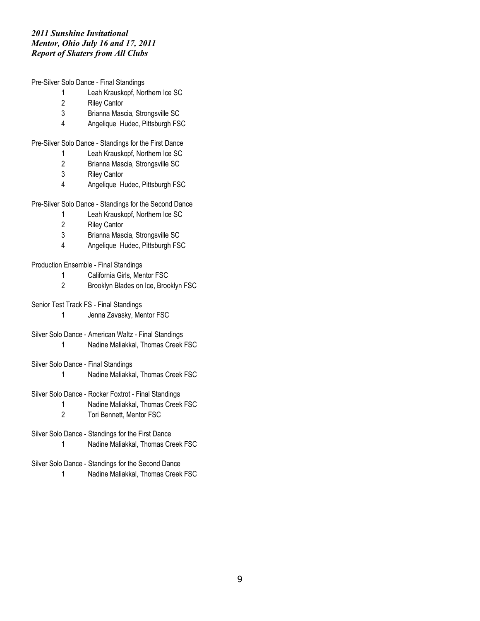Pre-Silver Solo Dance - Final Standings

- Leah Krauskopf, Northern Ice SC
- Riley Cantor
- Brianna Mascia, Strongsville SC
- Angelique Hudec, Pittsburgh FSC

Pre-Silver Solo Dance - Standings for the First Dance

- Leah Krauskopf, Northern Ice SC
- Brianna Mascia, Strongsville SC
- Riley Cantor
- Angelique Hudec, Pittsburgh FSC

Pre-Silver Solo Dance - Standings for the Second Dance

- Leah Krauskopf, Northern Ice SC
- Riley Cantor
- Brianna Mascia, Strongsville SC
- Angelique Hudec, Pittsburgh FSC

Production Ensemble - Final Standings

- California Girls, Mentor FSC
- Brooklyn Blades on Ice, Brooklyn FSC
- Senior Test Track FS Final Standings
	- Jenna Zavasky, Mentor FSC
- Silver Solo Dance American Waltz Final Standings
	- Nadine Maliakkal, Thomas Creek FSC
- Silver Solo Dance Final Standings
	- Nadine Maliakkal, Thomas Creek FSC
- Silver Solo Dance Rocker Foxtrot Final Standings
	- Nadine Maliakkal, Thomas Creek FSC
	- Tori Bennett, Mentor FSC
- Silver Solo Dance Standings for the First Dance Nadine Maliakkal, Thomas Creek FSC
- Silver Solo Dance Standings for the Second Dance
	- Nadine Maliakkal, Thomas Creek FSC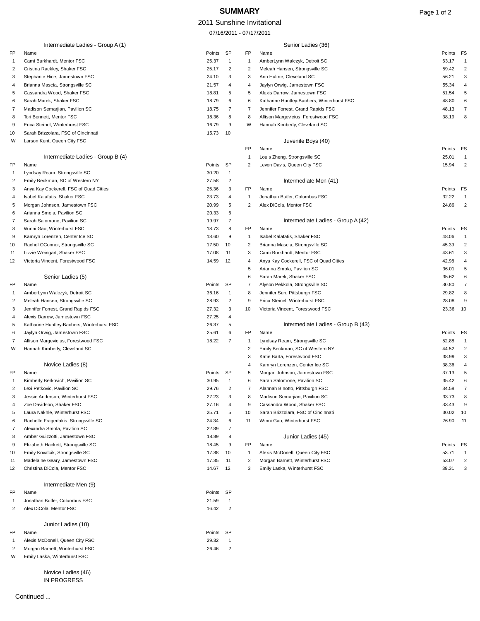# **SUMMARY** Page 1 of 2

#### 2011 Sunshine Invitational

07/16/2011 - 07/17/2011

| Intermediate Ladies - Group A (1) |                                            |                 | Senior Ladies (36) |                |                                                             |                         |
|-----------------------------------|--------------------------------------------|-----------------|--------------------|----------------|-------------------------------------------------------------|-------------------------|
| FP                                | Name                                       | Points          | SP                 | FP             | Name                                                        | Points FS               |
| -1                                | Cami Burkhardt, Mentor FSC                 | 25.37           | -1                 | $\mathbf{1}$   | AmberLynn Walczyk, Detroit SC                               | 63.17<br>-1             |
| 2                                 | Cristina Rackley, Shaker FSC               | 25.17           | 2                  | $\overline{2}$ | Meleah Hansen, Strongsville SC                              | 59.42<br>$\overline{2}$ |
| 3                                 | Stephanie Hice, Jamestown FSC              | 24.10           | 3                  | 3              | Ann Hulme, Cleveland SC                                     | 56.21<br>3              |
| 4                                 | Brianna Mascia, Strongsville SC            | 21.57           | 4                  | 4              | Jaylyn Orwig, Jamestown FSC                                 | 55.34<br>4              |
| 5                                 | Cassandra Wood, Shaker FSC                 | 18.81           | 5                  | 5              | Alexis Darrow, Jamestown FSC                                | 5<br>51.54              |
| 6                                 | Sarah Marek, Shaker FSC                    | 18.79           | 6                  | 6              | Katharine Huntley-Bachers, Winterhurst FSC                  | 48.80<br>6              |
| -7                                | Madison Semarjian, Pavilion SC             | 18.75           | 7                  | 7              | Jennifer Forrest, Grand Rapids FSC                          | 7<br>48.13              |
| 8                                 | Tori Bennett, Mentor FSC                   | 18.36           | 8                  | 8              | Allison Margevicius, Forestwood FSC                         | 8<br>38.19              |
| 9                                 | Erica Steinel, Winterhurst FSC             | 16.79           | 9                  | W              | Hannah Kimberly, Cleveland SC                               |                         |
| 10                                | Sarah Brizzolara, FSC of Cincinnati        | 15.73           | 10                 |                |                                                             |                         |
| W                                 | Larson Kent, Queen City FSC                |                 |                    | FP             | Juvenile Boys (40)<br>Name                                  | Points FS               |
|                                   | Intermediate Ladies - Group B (4)          |                 |                    | -1             |                                                             | 25.01<br>1              |
| FP                                | Name                                       | Points          | SP                 | 2              | Louis Zheng, Strongsville SC<br>Levon Davis, Queen City FSC | $\overline{2}$<br>15.94 |
| -1                                | Lyndsay Ream, Strongsville SC              | 30.20           | $\mathbf{1}$       |                |                                                             |                         |
| 2                                 | Emily Beckman, SC of Western NY            | 27.58           | $\overline{2}$     |                | Intermediate Men (41)                                       |                         |
| 3                                 | Anya Kay Cockerell, FSC of Quad Cities     | 25.36           | 3                  | FP             | Name                                                        | Points FS               |
| 4                                 | Isabel Kalafatis, Shaker FSC               | 23.73           | 4                  | $\mathbf{1}$   | Jonathan Butler, Columbus FSC                               | 32.22<br>$\mathbf{1}$   |
| 5                                 | Morgan Johnson, Jamestown FSC              | 20.99           | 5                  | 2              | Alex DiCola, Mentor FSC                                     | $\overline{2}$<br>24.86 |
| 6                                 | Arianna Smola, Pavilion SC                 | 20.33           | 6                  |                |                                                             |                         |
| 7                                 | Sarah Salomone, Pavilion SC                | 19.97           | $\overline{7}$     |                | Intermediate Ladies - Group A (42)                          |                         |
| 8                                 | Winni Gao, Winterhurst FSC                 | 18.73           | 8                  | FP             | Name                                                        | Points FS               |
| 9                                 | Kamryn Lorenzen, Center Ice SC             | 18.60           | 9                  | $\mathbf{1}$   | Isabel Kalafatis, Shaker FSC                                | 48.06<br>$\overline{1}$ |
| 10                                | Rachel OConnor, Strongsville SC            | 17.50           | 10                 | $\overline{2}$ | Brianna Mascia, Strongsville SC                             | $\overline{2}$<br>45.39 |
| 11                                | Lizzie Weingart, Shaker FSC                | 17.08           | 11                 | 3              | Cami Burkhardt, Mentor FSC                                  | 3<br>43.61              |
| 12                                | Victoria Vincent, Forestwood FSC           | 14.59           | 12                 | 4              | Anya Kay Cockerell, FSC of Quad Cities                      | 42.98<br>4              |
|                                   |                                            |                 |                    | 5              | Arianna Smola, Pavilion SC                                  | 36.01<br>5              |
|                                   | Senior Ladies (5)                          |                 |                    | 6              | Sarah Marek, Shaker FSC                                     | 35.62<br>6              |
| FP                                | Name                                       | Points          | SP                 | 7              | Alyson Pekkola, Strongsville SC                             | 30.80<br>7              |
| -1                                | AmberLynn Walczyk, Detroit SC              | 36.16           | -1                 | 8              | Jennifer Sun, Pittsburgh FSC                                | 29.82<br>8              |
| 2                                 | Meleah Hansen, Strongsville SC             | 28.93           | $\overline{2}$     | 9              | Erica Steinel, Winterhurst FSC                              | 9<br>28.08              |
| 3                                 | Jennifer Forrest, Grand Rapids FSC         | 27.32           | 3                  | 10             | Victoria Vincent, Forestwood FSC                            | 23.36<br>10             |
| 4                                 | Alexis Darrow, Jamestown FSC               | 27.25           | 4                  |                |                                                             |                         |
| 5                                 | Katharine Huntley-Bachers, Winterhurst FSC | 26.37           | 5                  |                | Intermediate Ladies - Group B (43)                          |                         |
| 6                                 | Jaylyn Orwig, Jamestown FSC                | 25.61           | 6                  | FP             | Name                                                        | Points FS               |
| 7                                 | Allison Margevicius, Forestwood FSC        | 18.22           | 7                  | $\mathbf{1}$   | Lyndsay Ream, Strongsville SC                               | 52.88<br>1              |
| W                                 | Hannah Kimberly, Cleveland SC              |                 |                    | $\overline{2}$ | Emily Beckman, SC of Western NY                             | 44.52<br>2              |
|                                   |                                            |                 |                    | 3              | Katie Barta, Forestwood FSC                                 | 3<br>38.99              |
|                                   | Novice Ladies (8)                          |                 |                    | 4              | Kamryn Lorenzen, Center Ice SC                              | 38.36<br>4              |
| FP                                | Name                                       | Points          | SP                 | 5              | Morgan Johnson, Jamestown FSC                               | 37.13<br>5              |
| -1                                | Kimberly Berkovich, Pavilion SC            | 30.95           | $\overline{1}$     | 6              | Sarah Salomone, Pavilion SC                                 | 6<br>35.42              |
|                                   | Lexi Petkovic, Pavilion SC                 | 29.76           | $\overline{2}$     | 7              | Alannah Binotto, Pittsburgh FSC                             | 34.58<br>7              |
| 3                                 | Jessie Anderson, Winterhurst FSC           | 27.23           | 3                  | 8              | Madison Semarjian, Pavilion SC                              | 33.73<br>8              |
| 4                                 | Zoe Davidson, Shaker FSC                   | 27.16           | 4                  | 9              | Cassandra Wood, Shaker FSC                                  | 33.43<br>9              |
| 5                                 | Laura Nakhle, Winterhurst FSC              | 25.71           | 5                  | 10             | Sarah Brizzolara, FSC of Cincinnati                         | 30.02 10                |
| 6                                 | Rachelle Fragedakis, Strongsville SC       | 24.34           | 6                  | 11             | Winni Gao, Winterhurst FSC                                  | 26.90<br>11             |
| 7                                 | Alexandra Smola, Pavilion SC               | 22.89           | 7                  |                |                                                             |                         |
| 8                                 | Amber Guizzotti, Jamestown FSC             | 18.89           | 8                  |                | Junior Ladies (45)                                          |                         |
| 9                                 | Elizabeth Hackett, Strongsville SC         | 18.45           | 9                  | FP             | Name                                                        | Points FS               |
| 10                                | Emily Kovalcik, Strongsville SC            | 17.88           | 10                 | $\mathbf{1}$   | Alexis McDonell, Queen City FSC                             | 53.71                   |
| 11                                | Madelaine Geary, Jamestown FSC             | 17.35           | 11                 | $\overline{2}$ | Morgan Barnett, Winterhurst FSC                             | 2<br>53.07              |
| 12                                | Christina DiCola, Mentor FSC               | 14.67           | 12                 | 3              | Emily Laska, Winterhurst FSC                                | 39.31<br>3              |
|                                   |                                            |                 |                    |                |                                                             |                         |
|                                   | Intermediate Men (9)                       |                 |                    |                |                                                             |                         |
| FP<br>-1                          | Name<br>Jonathan Butler, Columbus FSC      | Points<br>21.59 | SP<br>-1           |                |                                                             |                         |
| 2                                 | Alex DiCola, Mentor FSC                    | 16.42           | $\overline{2}$     |                |                                                             |                         |
|                                   |                                            |                 |                    |                |                                                             |                         |
|                                   | Junior Ladies (10)                         |                 |                    |                |                                                             |                         |
| FP                                | Name                                       | Points          | SP                 |                |                                                             |                         |
| -1                                | Alexis McDonell, Queen City FSC            | 29.32           | -1                 |                |                                                             |                         |
| 2                                 | Morgan Barnett, Winterhurst FSC            | 26.46           | $\overline{2}$     |                |                                                             |                         |
| W                                 | Emily Laska, Winterhurst FSC               |                 |                    |                |                                                             |                         |

Novice Ladies (46) IN PROGRESS